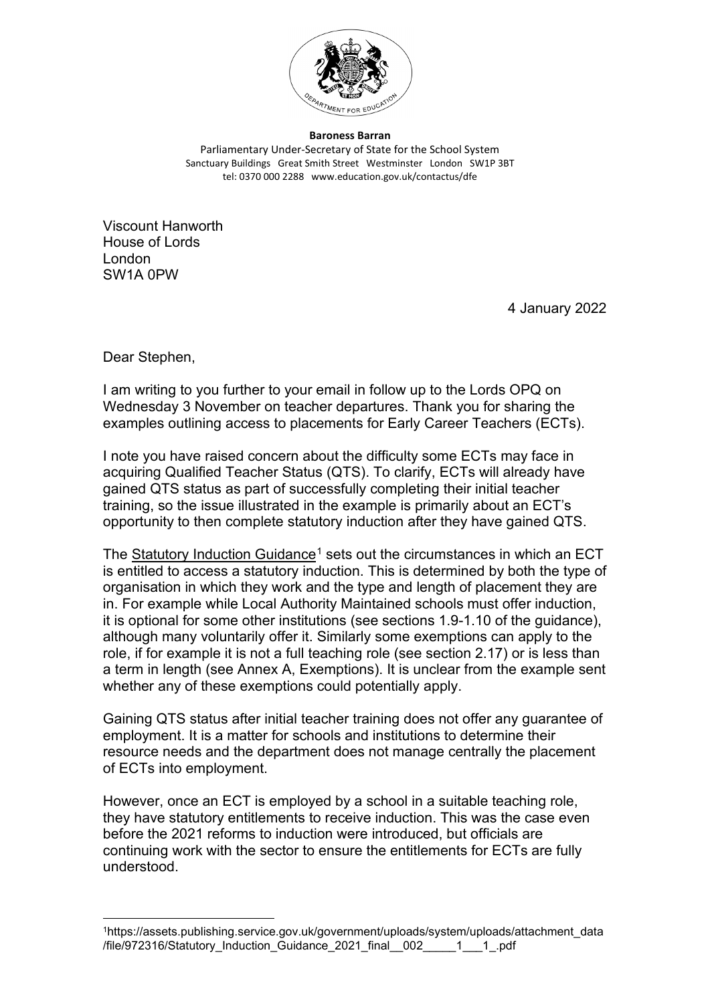

**Baroness Barran** Parliamentary Under-Secretary of State for the School System Sanctuary Buildings Great Smith Street Westminster London SW1P 3BT tel: 0370 000 2288 www.education.gov.uk/contactus/dfe

Viscount Hanworth House of Lords London SW1A 0PW

4 January 2022

Dear Stephen,

I am writing to you further to your email in follow up to the Lords OPQ on Wednesday 3 November on teacher departures. Thank you for sharing the examples outlining access to placements for Early Career Teachers (ECTs).

I note you have raised concern about the difficulty some ECTs may face in acquiring Qualified Teacher Status (QTS). To clarify, ECTs will already have gained QTS status as part of successfully completing their initial teacher training, so the issue illustrated in the example is primarily about an ECT's opportunity to then complete statutory induction after they have gained QTS.

The [Statutory Induction Guidance](https://assets.publishing.service.gov.uk/government/uploads/system/uploads/attachment_data/file/972316/Statutory_Induction_Guidance_2021_final__002_____1___1_.pdf)<sup>[1](#page-0-0)</sup> sets out the circumstances in which an ECT is entitled to access a statutory induction. This is determined by both the type of organisation in which they work and the type and length of placement they are in. For example while Local Authority Maintained schools must offer induction, it is optional for some other institutions (see sections 1.9-1.10 of the guidance), although many voluntarily offer it. Similarly some exemptions can apply to the role, if for example it is not a full teaching role (see section 2.17) or is less than a term in length (see Annex A, Exemptions). It is unclear from the example sent whether any of these exemptions could potentially apply.

Gaining QTS status after initial teacher training does not offer any guarantee of employment. It is a matter for schools and institutions to determine their resource needs and the department does not manage centrally the placement of ECTs into employment.

However, once an ECT is employed by a school in a suitable teaching role, they have statutory entitlements to receive induction. This was the case even before the 2021 reforms to induction were introduced, but officials are continuing work with the sector to ensure the entitlements for ECTs are fully understood.

<span id="page-0-0"></span><sup>1</sup>https://assets.publishing.service.gov.uk/government/uploads/system/uploads/attachment\_data /file/972316/Statutory\_Induction\_Guidance\_2021\_final\_\_002\_\_\_\_\_1\_\_\_1\_.pdf